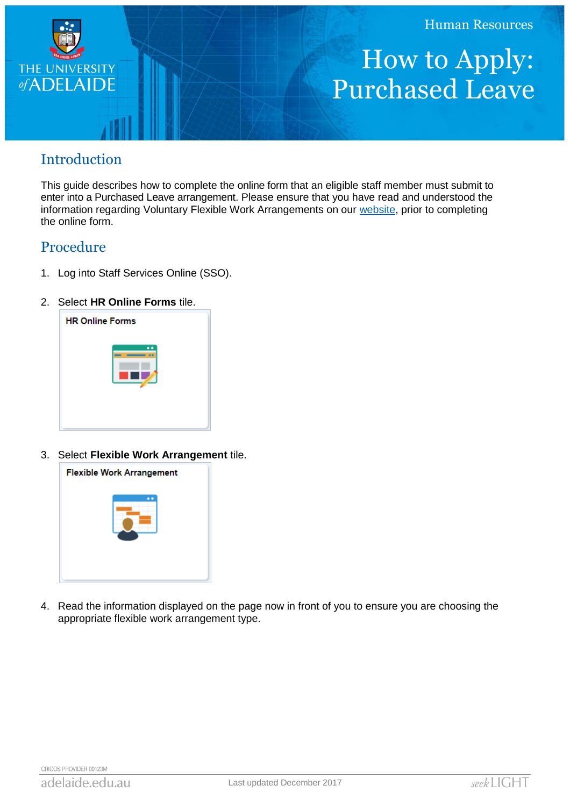

## How to Apply: Purchased Leave

## Introduction

This guide describes how to complete the online form that an eligible staff member must submit to enter into a Purchased Leave arrangement. Please ensure that you have read and understood the information regarding Voluntary Flexible Work Arrangements on our [website,](http://www.adelaide.edu.au/hr/systems/sso/vfwa) prior to completing the online form.

## Procedure

- 1. Log into Staff Services Online (SSO).
- 2. Select **HR Online Forms** tile.



3. Select **Flexible Work Arrangement** tile.



4. Read the information displayed on the page now in front of you to ensure you are choosing the appropriate flexible work arrangement type.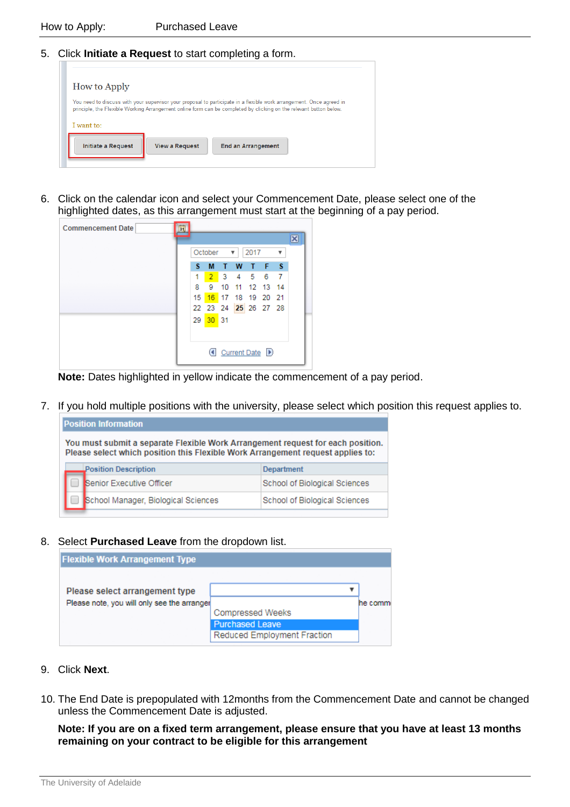5. Click **Initiate a Request** to start completing a form.

| How to Apply              |                       |                                                                                                                                                                                                                                            |  |
|---------------------------|-----------------------|--------------------------------------------------------------------------------------------------------------------------------------------------------------------------------------------------------------------------------------------|--|
|                           |                       | You need to discuss with your supervisor your proposal to participate in a flexible work arrangement. Once agreed in<br>principle, the Flexible Working Arrangement online form can be completed by clicking on the relevant button below. |  |
| I want to:                |                       |                                                                                                                                                                                                                                            |  |
| <b>Initiate a Request</b> | <b>View a Request</b> | <b>End an Arrangement</b>                                                                                                                                                                                                                  |  |

6. Click on the calendar icon and select your Commencement Date, please select one of the highlighted dates, as this arrangement must start at the beginning of a pay period.

| <b>Commencement Date</b><br>BI |                 |          |           |   |      |                      |                         |   |
|--------------------------------|-----------------|----------|-----------|---|------|----------------------|-------------------------|---|
|                                |                 |          |           |   |      |                      |                         | × |
|                                |                 | October  |           | ▼ | 2017 |                      | $\overline{\mathbf{v}}$ |   |
|                                | s               | м        | T         | W | ⊕    | F S                  |                         |   |
|                                | 1               | $2 -$    | $\cdot$ 3 |   |      | 4 5 6 7              |                         |   |
|                                | 8.              | 9        |           |   |      | 10 11 12 13 14       |                         |   |
|                                | 15 <sub>1</sub> |          |           |   |      | 16 17 18 19 20 21    |                         |   |
|                                |                 |          |           |   |      | 22 23 24 25 26 27 28 |                         |   |
|                                |                 | 29 30 31 |           |   |      |                      |                         |   |
|                                |                 |          |           |   |      |                      |                         |   |
|                                |                 |          |           |   |      |                      |                         |   |
|                                |                 |          |           |   |      | Current Date D       |                         |   |
|                                |                 |          |           |   |      |                      |                         |   |

**Note:** Dates highlighted in yellow indicate the commencement of a pay period.

7. If you hold multiple positions with the university, please select which position this request applies to.

| <b>Position Information</b>                                                                                                                                        |                                     |                               |  |  |  |  |  |
|--------------------------------------------------------------------------------------------------------------------------------------------------------------------|-------------------------------------|-------------------------------|--|--|--|--|--|
| You must submit a separate Flexible Work Arrangement request for each position.<br>Please select which position this Flexible Work Arrangement request applies to: |                                     |                               |  |  |  |  |  |
|                                                                                                                                                                    | <b>Position Description</b>         | <b>Department</b>             |  |  |  |  |  |
|                                                                                                                                                                    | Senior Executive Officer            | School of Biological Sciences |  |  |  |  |  |
|                                                                                                                                                                    | School Manager, Biological Sciences | School of Biological Sciences |  |  |  |  |  |

8. Select **Purchased Leave** from the dropdown list.

| <b>Flexible Work Arrangement Type</b>       |                                                   |         |
|---------------------------------------------|---------------------------------------------------|---------|
|                                             |                                                   |         |
| Please select arrangement type              |                                                   |         |
| Please note, you will only see the arranger |                                                   | he comm |
|                                             | <b>Compressed Weeks</b><br><b>Purchased Leave</b> |         |
|                                             | Reduced Employment Fraction                       |         |

- 9. Click **Next**.
- 10. The End Date is prepopulated with 12months from the Commencement Date and cannot be changed unless the Commencement Date is adjusted.

**Note: If you are on a fixed term arrangement, please ensure that you have at least 13 months remaining on your contract to be eligible for this arrangement**